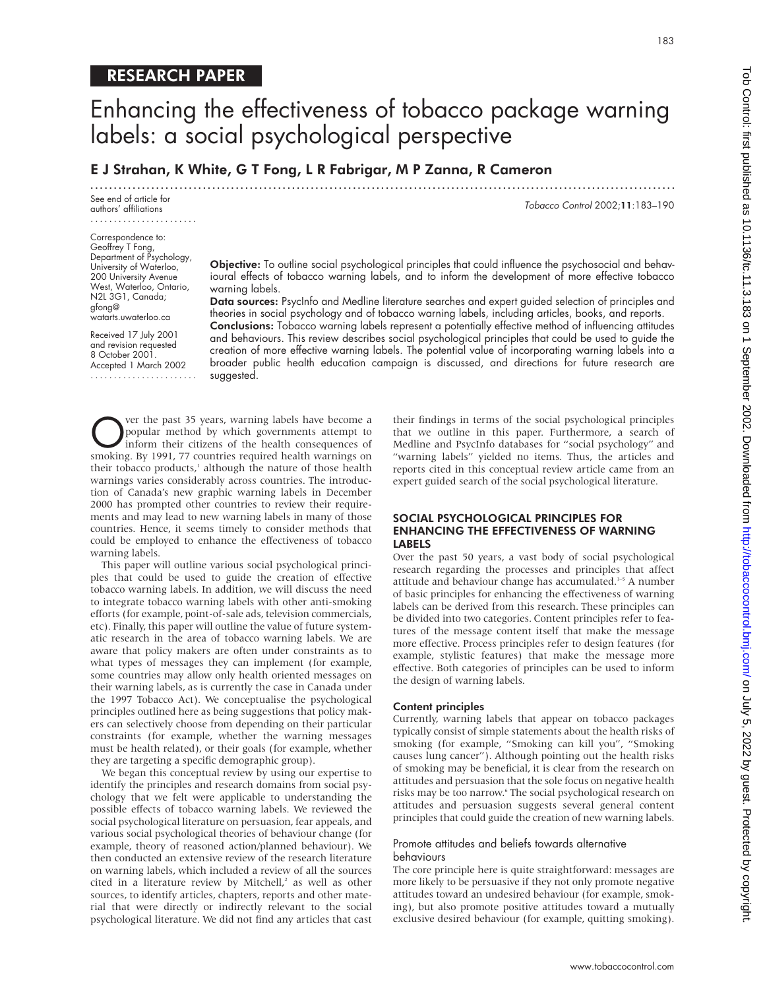# RESEARCH PAPER

# Enhancing the effectiveness of tobacco package warning labels: a social psychological perspective

.............................................................................................................................

# E J Strahan, K White, G T Fong, L R Fabrigar, M P Zanna, R Cameron

See end of article for authors' affiliations .......................

Tobacco Control 2002;11:183–190

Correspondence to: Geoffrey T Fong, Department of Psychology, University of Waterloo, 200 University Avenue West, Waterloo, Ontario, N2L 3G1, Canada; gfong@ watarts.uwaterloo.ca

Received 17 July 2001 and revision requested

8 October 2001. Accepted 1 March 2002 .......................

ioural effects of tobacco warning labels, and to inform the development of more effective tobacco warning labels. Data sources: PsycInfo and Medline literature searches and expert guided selection of principles and theories in social psychology and of tobacco warning labels, including articles, books, and reports. Conclusions: Tobacco warning labels represent a potentially effective method of influencing attitudes

Objective: To outline social psychological principles that could influence the psychosocial and behav-

and behaviours. This review describes social psychological principles that could be used to guide the creation of more effective warning labels. The potential value of incorporating warning labels into a broader public health education campaign is discussed, and directions for future research are suggested.

Over the past 35 years, warning labels have become a<br>popular method by which governments attempt to<br>inform their citizens of the health consequences of<br>smoking By 1991–77 countries required health warnings on popular method by which governments attempt to inform their citizens of the health consequences of smoking. By 1991, 77 countries required health warnings on their tobacco products,<sup>1</sup> although the nature of those health warnings varies considerably across countries. The introduction of Canada's new graphic warning labels in December 2000 has prompted other countries to review their requirements and may lead to new warning labels in many of those countries. Hence, it seems timely to consider methods that could be employed to enhance the effectiveness of tobacco warning labels.

This paper will outline various social psychological principles that could be used to guide the creation of effective tobacco warning labels. In addition, we will discuss the need to integrate tobacco warning labels with other anti-smoking efforts (for example, point-of-sale ads, television commercials, etc). Finally, this paper will outline the value of future systematic research in the area of tobacco warning labels. We are aware that policy makers are often under constraints as to what types of messages they can implement (for example, some countries may allow only health oriented messages on their warning labels, as is currently the case in Canada under the 1997 Tobacco Act). We conceptualise the psychological principles outlined here as being suggestions that policy makers can selectively choose from depending on their particular constraints (for example, whether the warning messages must be health related), or their goals (for example, whether they are targeting a specific demographic group).

We began this conceptual review by using our expertise to identify the principles and research domains from social psychology that we felt were applicable to understanding the possible effects of tobacco warning labels. We reviewed the social psychological literature on persuasion, fear appeals, and various social psychological theories of behaviour change (for example, theory of reasoned action/planned behaviour). We then conducted an extensive review of the research literature on warning labels, which included a review of all the sources cited in a literature review by Mitchell,<sup>2</sup> as well as other sources, to identify articles, chapters, reports and other material that were directly or indirectly relevant to the social psychological literature. We did not find any articles that cast

their findings in terms of the social psychological principles that we outline in this paper. Furthermore, a search of Medline and PsycInfo databases for "social psychology" and "warning labels" yielded no items. Thus, the articles and reports cited in this conceptual review article came from an expert guided search of the social psychological literature.

# SOCIAL PSYCHOLOGICAL PRINCIPLES FOR ENHANCING THE EFFECTIVENESS OF WARNING LABELS

Over the past 50 years, a vast body of social psychological research regarding the processes and principles that affect attitude and behaviour change has accumulated.<sup>3-5</sup> A number of basic principles for enhancing the effectiveness of warning labels can be derived from this research. These principles can be divided into two categories. Content principles refer to features of the message content itself that make the message more effective. Process principles refer to design features (for example, stylistic features) that make the message more effective. Both categories of principles can be used to inform the design of warning labels.

# Content principles

Currently, warning labels that appear on tobacco packages typically consist of simple statements about the health risks of smoking (for example, "Smoking can kill you", "Smoking causes lung cancer"). Although pointing out the health risks of smoking may be beneficial, it is clear from the research on attitudes and persuasion that the sole focus on negative health risks may be too narrow.<sup>6</sup> The social psychological research on attitudes and persuasion suggests several general content principles that could guide the creation of new warning labels.

# Promote attitudes and beliefs towards alternative behaviours

The core principle here is quite straightforward: messages are more likely to be persuasive if they not only promote negative attitudes toward an undesired behaviour (for example, smoking), but also promote positive attitudes toward a mutually exclusive desired behaviour (for example, quitting smoking).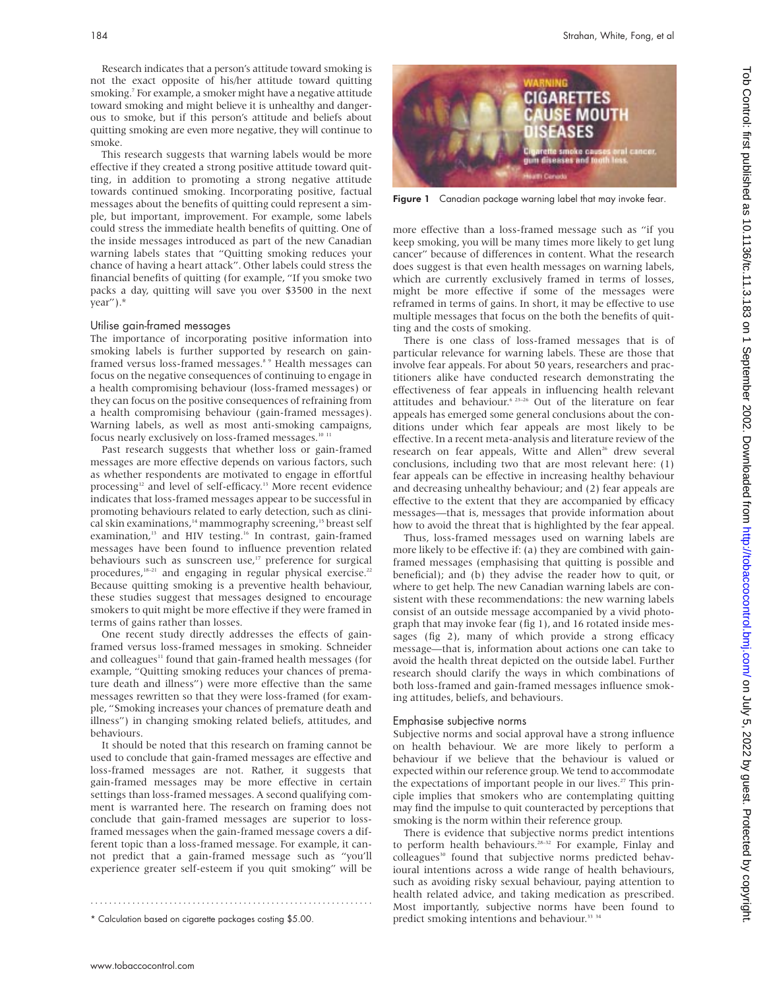Research indicates that a person's attitude toward smoking is not the exact opposite of his/her attitude toward quitting smoking.<sup>7</sup> For example, a smoker might have a negative attitude toward smoking and might believe it is unhealthy and dangerous to smoke, but if this person's attitude and beliefs about quitting smoking are even more negative, they will continue to smoke.

This research suggests that warning labels would be more effective if they created a strong positive attitude toward quitting, in addition to promoting a strong negative attitude towards continued smoking. Incorporating positive, factual messages about the benefits of quitting could represent a simple, but important, improvement. For example, some labels could stress the immediate health benefits of quitting. One of the inside messages introduced as part of the new Canadian warning labels states that "Quitting smoking reduces your chance of having a heart attack". Other labels could stress the financial benefits of quitting (for example, "If you smoke two packs a day, quitting will save you over \$3500 in the next year").\*

#### Utilise gain-framed messages

The importance of incorporating positive information into smoking labels is further supported by research on gainframed versus loss-framed messages.<sup>8</sup> 9 Health messages can focus on the negative consequences of continuing to engage in a health compromising behaviour (loss-framed messages) or they can focus on the positive consequences of refraining from a health compromising behaviour (gain-framed messages). Warning labels, as well as most anti-smoking campaigns, focus nearly exclusively on loss-framed messages.<sup>10 11</sup>

Past research suggests that whether loss or gain-framed messages are more effective depends on various factors, such as whether respondents are motivated to engage in effortful processing<sup>12</sup> and level of self-efficacy.<sup>13</sup> More recent evidence indicates that loss-framed messages appear to be successful in promoting behaviours related to early detection, such as clinical skin examinations,<sup>14</sup> mammography screening,<sup>15</sup> breast self examination,<sup>13</sup> and HIV testing.<sup>16</sup> In contrast, gain-framed messages have been found to influence prevention related behaviours such as sunscreen use,<sup>17</sup> preference for surgical procedures,<sup>18-21</sup> and engaging in regular physical exercise.<sup>22</sup> Because quitting smoking is a preventive health behaviour, these studies suggest that messages designed to encourage smokers to quit might be more effective if they were framed in terms of gains rather than losses.

One recent study directly addresses the effects of gainframed versus loss-framed messages in smoking. Schneider and colleagues<sup>11</sup> found that gain-framed health messages (for example, "Quitting smoking reduces your chances of premature death and illness") were more effective than the same messages rewritten so that they were loss-framed (for example, "Smoking increases your chances of premature death and illness") in changing smoking related beliefs, attitudes, and behaviours.

It should be noted that this research on framing cannot be used to conclude that gain-framed messages are effective and loss-framed messages are not. Rather, it suggests that gain-framed messages may be more effective in certain settings than loss-framed messages. A second qualifying comment is warranted here. The research on framing does not conclude that gain-framed messages are superior to lossframed messages when the gain-framed message covers a different topic than a loss-framed message. For example, it cannot predict that a gain-framed message such as "you'll experience greater self-esteem if you quit smoking" will be

.............................................................



Figure 1 Canadian package warning label that may invoke fear.

more effective than a loss-framed message such as "if you keep smoking, you will be many times more likely to get lung cancer" because of differences in content. What the research does suggest is that even health messages on warning labels, which are currently exclusively framed in terms of losses, might be more effective if some of the messages were reframed in terms of gains. In short, it may be effective to use multiple messages that focus on the both the benefits of quitting and the costs of smoking.

There is one class of loss-framed messages that is of particular relevance for warning labels. These are those that involve fear appeals. For about 50 years, researchers and practitioners alike have conducted research demonstrating the effectiveness of fear appeals in influencing health relevant attitudes and behaviour. $6^{23-26}$  Out of the literature on fear appeals has emerged some general conclusions about the conditions under which fear appeals are most likely to be effective. In a recent meta-analysis and literature review of the research on fear appeals, Witte and Allen<sup>26</sup> drew several conclusions, including two that are most relevant here: (1) fear appeals can be effective in increasing healthy behaviour and decreasing unhealthy behaviour; and (2) fear appeals are effective to the extent that they are accompanied by efficacy messages—that is, messages that provide information about how to avoid the threat that is highlighted by the fear appeal.

Thus, loss-framed messages used on warning labels are more likely to be effective if: (a) they are combined with gainframed messages (emphasising that quitting is possible and beneficial); and (b) they advise the reader how to quit, or where to get help. The new Canadian warning labels are consistent with these recommendations: the new warning labels consist of an outside message accompanied by a vivid photograph that may invoke fear (fig 1), and 16 rotated inside messages (fig 2), many of which provide a strong efficacy message—that is, information about actions one can take to avoid the health threat depicted on the outside label. Further research should clarify the ways in which combinations of both loss-framed and gain-framed messages influence smoking attitudes, beliefs, and behaviours.

#### Emphasise subjective norms

Subjective norms and social approval have a strong influence on health behaviour. We are more likely to perform a behaviour if we believe that the behaviour is valued or expected within our reference group. We tend to accommodate the expectations of important people in our lives.<sup>27</sup> This principle implies that smokers who are contemplating quitting may find the impulse to quit counteracted by perceptions that smoking is the norm within their reference group.

There is evidence that subjective norms predict intentions to perform health behaviours.<sup>28-32</sup> For example, Finlay and colleagues<sup>30</sup> found that subjective norms predicted behavioural intentions across a wide range of health behaviours, such as avoiding risky sexual behaviour, paying attention to health related advice, and taking medication as prescribed. Most importantly, subjective norms have been found to predict smoking intentions and behaviour.<sup>33</sup> <sup>34</sup>

<sup>\*</sup> Calculation based on cigarette packages costing \$5.00.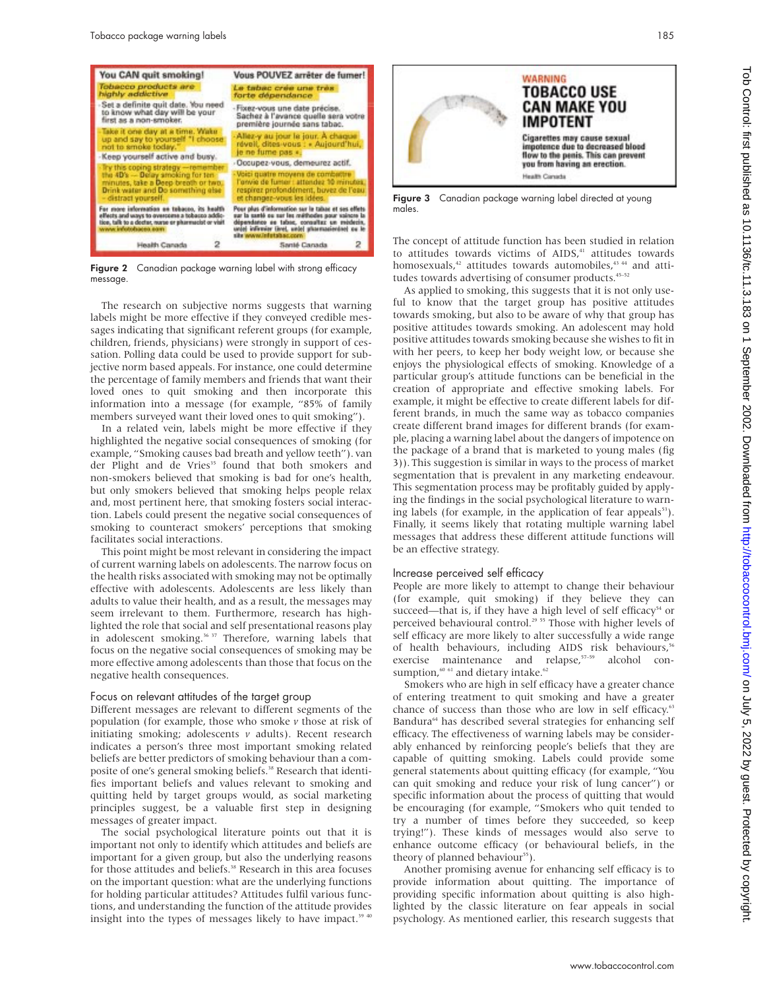| You CAN quit smoking!<br>Tobacco products are<br>highly addictive                                                                                                                                                                                                        |                                                                                                       | Vous POUVEZ arrêter de fumer!                                                                                                                                                                                                        |
|--------------------------------------------------------------------------------------------------------------------------------------------------------------------------------------------------------------------------------------------------------------------------|-------------------------------------------------------------------------------------------------------|--------------------------------------------------------------------------------------------------------------------------------------------------------------------------------------------------------------------------------------|
|                                                                                                                                                                                                                                                                          |                                                                                                       | Le tabac crée une très<br>forte dépendance                                                                                                                                                                                           |
| -Set a definite quit date. You need<br>to know what day will be your<br>first as a non-smoker.<br>lake it one day at a time. Yrake<br>up and say to yourself "I choose<br>not to smoke today.<br>-Keep yourself active and busy.<br>ity this coping strategy -- remember | - Fixez-vous une date précise.<br>Sachez à l'avance quelle sera votre<br>première journée sans tabac. |                                                                                                                                                                                                                                      |
|                                                                                                                                                                                                                                                                          | -Allez-y au jour le jour. À chaque<br>rdveil, dites-vous : « Aujourd'hui,<br>je ne fume pas «         |                                                                                                                                                                                                                                      |
|                                                                                                                                                                                                                                                                          | · Occupez-vous, demeurez actif.                                                                       |                                                                                                                                                                                                                                      |
| the 4D's - Delay amoking for ten-<br>minutes, take a Deep breath or two.<br>Drink water and Do something else<br>- distract yourself.                                                                                                                                    |                                                                                                       | Voici quatre moyens de combattre<br>l'anvie de fumer : attendez 10 minutes.<br>respirez profondément, buvez de l'eau<br>et changez-vous les idées.                                                                                   |
| For more information on tobacco, its health<br>effects and ways to overcome a tobacco addic-<br>tion, talk to a declar, norse or pharmackit or visit.<br>www.infotobacea.com                                                                                             |                                                                                                       | Pour plus d'information sur la tabau et ses effets<br>sur la santé ou sur les méthodes pour vaincre la<br>dépendance se tabie, conquitar un méderin,<br>untel infirmier live), untel plusmaaientisel au le<br>site www.infotabac.com |
| Health Canada                                                                                                                                                                                                                                                            |                                                                                                       | Santé Canada                                                                                                                                                                                                                         |

Figure 2 Canadian package warning label with strong efficacy message.

The research on subjective norms suggests that warning labels might be more effective if they conveyed credible messages indicating that significant referent groups (for example, children, friends, physicians) were strongly in support of cessation. Polling data could be used to provide support for subjective norm based appeals. For instance, one could determine the percentage of family members and friends that want their loved ones to quit smoking and then incorporate this information into a message (for example, "85% of family members surveyed want their loved ones to quit smoking").

In a related vein, labels might be more effective if they highlighted the negative social consequences of smoking (for example, "Smoking causes bad breath and yellow teeth"). van der Plight and de Vries<sup>35</sup> found that both smokers and non-smokers believed that smoking is bad for one's health, but only smokers believed that smoking helps people relax and, most pertinent here, that smoking fosters social interaction. Labels could present the negative social consequences of smoking to counteract smokers' perceptions that smoking facilitates social interactions.

This point might be most relevant in considering the impact of current warning labels on adolescents. The narrow focus on the health risks associated with smoking may not be optimally effective with adolescents. Adolescents are less likely than adults to value their health, and as a result, the messages may seem irrelevant to them. Furthermore, research has highlighted the role that social and self presentational reasons play in adolescent smoking.<sup>36 37</sup> Therefore, warning labels that focus on the negative social consequences of smoking may be more effective among adolescents than those that focus on the negative health consequences.

#### Focus on relevant attitudes of the target group

Different messages are relevant to different segments of the population (for example, those who smoke *v* those at risk of initiating smoking; adolescents *v* adults). Recent research indicates a person's three most important smoking related beliefs are better predictors of smoking behaviour than a composite of one's general smoking beliefs.<sup>38</sup> Research that identifies important beliefs and values relevant to smoking and quitting held by target groups would, as social marketing principles suggest, be a valuable first step in designing messages of greater impact.

The social psychological literature points out that it is important not only to identify which attitudes and beliefs are important for a given group, but also the underlying reasons for those attitudes and beliefs.<sup>38</sup> Research in this area focuses on the important question: what are the underlying functions for holding particular attitudes? Attitudes fulfil various functions, and understanding the function of the attitude provides insight into the types of messages likely to have impact. $3940$ 



Figure 3 Canadian package warning label directed at young males.

The concept of attitude function has been studied in relation to attitudes towards victims of AIDS,<sup>41</sup> attitudes towards homosexuals,<sup>42</sup> attitudes towards automobiles,<sup>43</sup> <sup>44</sup> and attitudes towards advertising of consumer products.<sup>45-52</sup>

As applied to smoking, this suggests that it is not only useful to know that the target group has positive attitudes towards smoking, but also to be aware of why that group has positive attitudes towards smoking. An adolescent may hold positive attitudes towards smoking because she wishes to fit in with her peers, to keep her body weight low, or because she enjoys the physiological effects of smoking. Knowledge of a particular group's attitude functions can be beneficial in the creation of appropriate and effective smoking labels. For example, it might be effective to create different labels for different brands, in much the same way as tobacco companies create different brand images for different brands (for example, placing a warning label about the dangers of impotence on the package of a brand that is marketed to young males (fig 3)). This suggestion is similar in ways to the process of market segmentation that is prevalent in any marketing endeavour. This segmentation process may be profitably guided by applying the findings in the social psychological literature to warning labels (for example, in the application of fear appeals $53$ ). Finally, it seems likely that rotating multiple warning label messages that address these different attitude functions will be an effective strategy.

# Increase perceived self efficacy

People are more likely to attempt to change their behaviour (for example, quit smoking) if they believe they can succeed—that is, if they have a high level of self efficacy<sup>54</sup> or perceived behavioural control.<sup>29 55</sup> Those with higher levels of self efficacy are more likely to alter successfully a wide range of health behaviours, including AIDS risk behaviours,<sup>51</sup> exercise maintenance and relapse,<sup>57-59</sup> alcohol consumption,<sup>60 61</sup> and dietary intake.<sup>62</sup>

Smokers who are high in self efficacy have a greater chance of entering treatment to quit smoking and have a greater chance of success than those who are low in self efficacy.<sup>63</sup> Bandura<sup>64</sup> has described several strategies for enhancing self efficacy. The effectiveness of warning labels may be considerably enhanced by reinforcing people's beliefs that they are capable of quitting smoking. Labels could provide some general statements about quitting efficacy (for example, "You can quit smoking and reduce your risk of lung cancer") or specific information about the process of quitting that would be encouraging (for example, "Smokers who quit tended to try a number of times before they succeeded, so keep trying!"). These kinds of messages would also serve to enhance outcome efficacy (or behavioural beliefs, in the theory of planned behaviour<sup>55</sup>).

Another promising avenue for enhancing self efficacy is to provide information about quitting. The importance of providing specific information about quitting is also highlighted by the classic literature on fear appeals in social psychology. As mentioned earlier, this research suggests that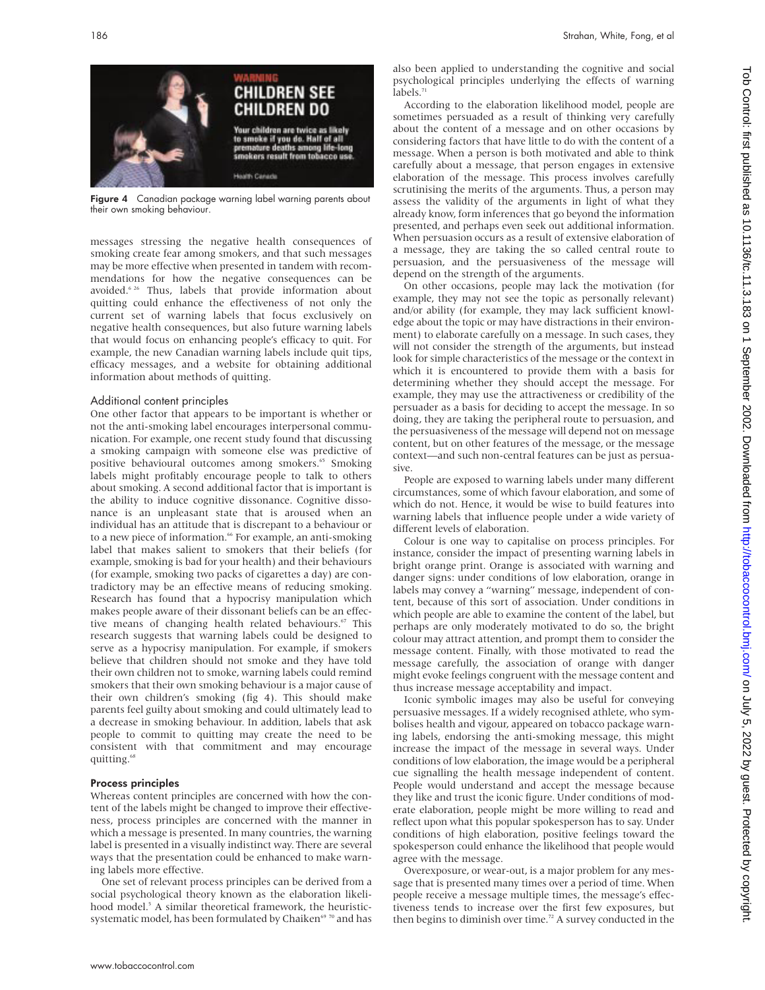

Figure 4 Canadian package warning label warning parents about their own smoking behaviour.

messages stressing the negative health consequences of smoking create fear among smokers, and that such messages may be more effective when presented in tandem with recommendations for how the negative consequences can be avoided.<sup>6 26</sup> Thus, labels that provide information about quitting could enhance the effectiveness of not only the current set of warning labels that focus exclusively on negative health consequences, but also future warning labels that would focus on enhancing people's efficacy to quit. For example, the new Canadian warning labels include quit tips, efficacy messages, and a website for obtaining additional information about methods of quitting.

# Additional content principles

One other factor that appears to be important is whether or not the anti-smoking label encourages interpersonal communication. For example, one recent study found that discussing a smoking campaign with someone else was predictive of positive behavioural outcomes among smokers.<sup>65</sup> Smoking labels might profitably encourage people to talk to others about smoking. A second additional factor that is important is the ability to induce cognitive dissonance. Cognitive dissonance is an unpleasant state that is aroused when an individual has an attitude that is discrepant to a behaviour or to a new piece of information.<sup>66</sup> For example, an anti-smoking label that makes salient to smokers that their beliefs (for example, smoking is bad for your health) and their behaviours (for example, smoking two packs of cigarettes a day) are contradictory may be an effective means of reducing smoking. Research has found that a hypocrisy manipulation which makes people aware of their dissonant beliefs can be an effective means of changing health related behaviours.<sup>67</sup> This research suggests that warning labels could be designed to serve as a hypocrisy manipulation. For example, if smokers believe that children should not smoke and they have told their own children not to smoke, warning labels could remind smokers that their own smoking behaviour is a major cause of their own children's smoking (fig 4). This should make parents feel guilty about smoking and could ultimately lead to a decrease in smoking behaviour. In addition, labels that ask people to commit to quitting may create the need to be consistent with that commitment and may encourage quitting.<sup>68</sup>

#### Process principles

Whereas content principles are concerned with how the content of the labels might be changed to improve their effectiveness, process principles are concerned with the manner in which a message is presented. In many countries, the warning label is presented in a visually indistinct way. There are several ways that the presentation could be enhanced to make warning labels more effective.

One set of relevant process principles can be derived from a social psychological theory known as the elaboration likelihood model.<sup>5</sup> A similar theoretical framework, the heuristicsystematic model, has been formulated by Chaiken<sup>69</sup> 70 and has

also been applied to understanding the cognitive and social psychological principles underlying the effects of warning labels.<sup>7</sup>

According to the elaboration likelihood model, people are sometimes persuaded as a result of thinking very carefully about the content of a message and on other occasions by considering factors that have little to do with the content of a message. When a person is both motivated and able to think carefully about a message, that person engages in extensive elaboration of the message. This process involves carefully scrutinising the merits of the arguments. Thus, a person may assess the validity of the arguments in light of what they already know, form inferences that go beyond the information presented, and perhaps even seek out additional information. When persuasion occurs as a result of extensive elaboration of a message, they are taking the so called central route to persuasion, and the persuasiveness of the message will depend on the strength of the arguments.

On other occasions, people may lack the motivation (for example, they may not see the topic as personally relevant) and/or ability (for example, they may lack sufficient knowledge about the topic or may have distractions in their environment) to elaborate carefully on a message. In such cases, they will not consider the strength of the arguments, but instead look for simple characteristics of the message or the context in which it is encountered to provide them with a basis for determining whether they should accept the message. For example, they may use the attractiveness or credibility of the persuader as a basis for deciding to accept the message. In so doing, they are taking the peripheral route to persuasion, and the persuasiveness of the message will depend not on message content, but on other features of the message, or the message context—and such non-central features can be just as persuasive.

People are exposed to warning labels under many different circumstances, some of which favour elaboration, and some of which do not. Hence, it would be wise to build features into warning labels that influence people under a wide variety of different levels of elaboration.

Colour is one way to capitalise on process principles. For instance, consider the impact of presenting warning labels in bright orange print. Orange is associated with warning and danger signs: under conditions of low elaboration, orange in labels may convey a "warning" message, independent of content, because of this sort of association. Under conditions in which people are able to examine the content of the label, but perhaps are only moderately motivated to do so, the bright colour may attract attention, and prompt them to consider the message content. Finally, with those motivated to read the message carefully, the association of orange with danger might evoke feelings congruent with the message content and thus increase message acceptability and impact.

Iconic symbolic images may also be useful for conveying persuasive messages. If a widely recognised athlete, who symbolises health and vigour, appeared on tobacco package warning labels, endorsing the anti-smoking message, this might increase the impact of the message in several ways. Under conditions of low elaboration, the image would be a peripheral cue signalling the health message independent of content. People would understand and accept the message because they like and trust the iconic figure. Under conditions of moderate elaboration, people might be more willing to read and reflect upon what this popular spokesperson has to say. Under conditions of high elaboration, positive feelings toward the spokesperson could enhance the likelihood that people would agree with the message.

Overexposure, or wear-out, is a major problem for any message that is presented many times over a period of time. When people receive a message multiple times, the message's effectiveness tends to increase over the first few exposures, but then begins to diminish over time.<sup>72</sup> A survey conducted in the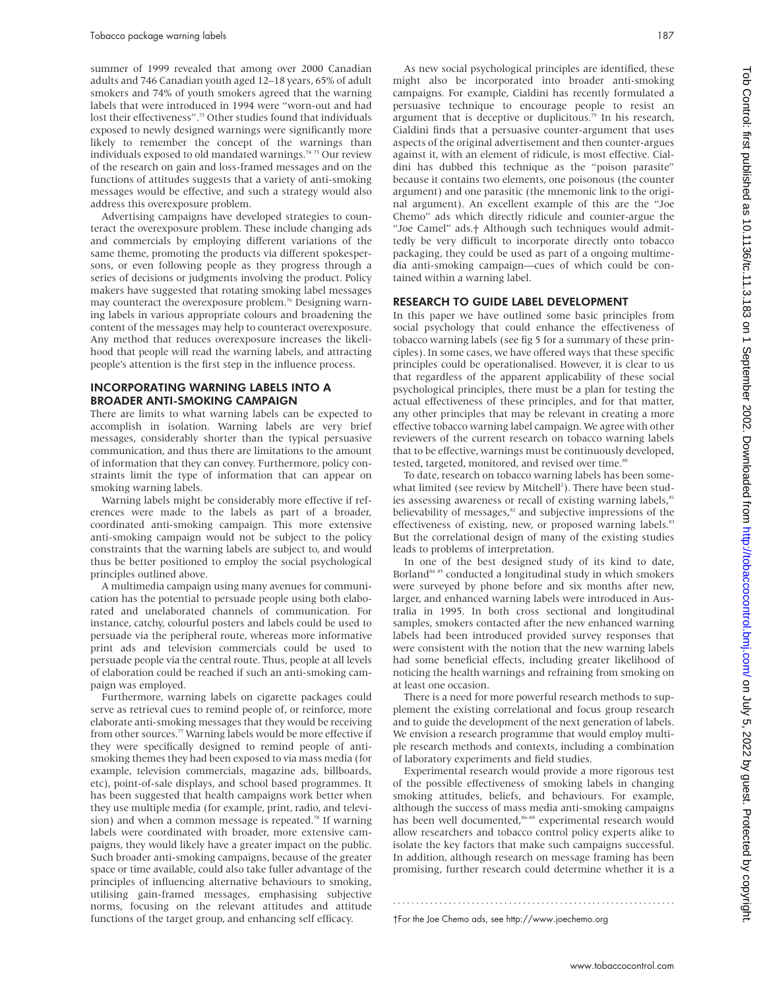summer of 1999 revealed that among over 2000 Canadian adults and 746 Canadian youth aged 12–18 years, 65% of adult smokers and 74% of youth smokers agreed that the warning labels that were introduced in 1994 were "worn-out and had lost their effectiveness".<sup>73</sup> Other studies found that individuals exposed to newly designed warnings were significantly more likely to remember the concept of the warnings than individuals exposed to old mandated warnings.<sup>74 75</sup> Our review of the research on gain and loss-framed messages and on the functions of attitudes suggests that a variety of anti-smoking messages would be effective, and such a strategy would also address this overexposure problem.

Advertising campaigns have developed strategies to counteract the overexposure problem. These include changing ads and commercials by employing different variations of the same theme, promoting the products via different spokespersons, or even following people as they progress through a series of decisions or judgments involving the product. Policy makers have suggested that rotating smoking label messages may counteract the overexposure problem.<sup>76</sup> Designing warning labels in various appropriate colours and broadening the content of the messages may help to counteract overexposure. Any method that reduces overexposure increases the likelihood that people will read the warning labels, and attracting people's attention is the first step in the influence process.

## INCORPORATING WARNING LABELS INTO A BROADER ANTI-SMOKING CAMPAIGN

There are limits to what warning labels can be expected to accomplish in isolation. Warning labels are very brief messages, considerably shorter than the typical persuasive communication, and thus there are limitations to the amount of information that they can convey. Furthermore, policy constraints limit the type of information that can appear on smoking warning labels.

Warning labels might be considerably more effective if references were made to the labels as part of a broader, coordinated anti-smoking campaign. This more extensive anti-smoking campaign would not be subject to the policy constraints that the warning labels are subject to, and would thus be better positioned to employ the social psychological principles outlined above.

A multimedia campaign using many avenues for communication has the potential to persuade people using both elaborated and unelaborated channels of communication. For instance, catchy, colourful posters and labels could be used to persuade via the peripheral route, whereas more informative print ads and television commercials could be used to persuade people via the central route. Thus, people at all levels of elaboration could be reached if such an anti-smoking campaign was employed.

Furthermore, warning labels on cigarette packages could serve as retrieval cues to remind people of, or reinforce, more elaborate anti-smoking messages that they would be receiving from other sources.<sup>77</sup> Warning labels would be more effective if they were specifically designed to remind people of antismoking themes they had been exposed to via mass media (for example, television commercials, magazine ads, billboards, etc), point-of-sale displays, and school based programmes. It has been suggested that health campaigns work better when they use multiple media (for example, print, radio, and television) and when a common message is repeated.<sup>78</sup> If warning labels were coordinated with broader, more extensive campaigns, they would likely have a greater impact on the public. Such broader anti-smoking campaigns, because of the greater space or time available, could also take fuller advantage of the principles of influencing alternative behaviours to smoking, utilising gain-framed messages, emphasising subjective norms, focusing on the relevant attitudes and attitude functions of the target group, and enhancing self efficacy.

As new social psychological principles are identified, these might also be incorporated into broader anti-smoking campaigns. For example, Cialdini has recently formulated a persuasive technique to encourage people to resist an argument that is deceptive or duplicitous.<sup>79</sup> In his research, Cialdini finds that a persuasive counter-argument that uses aspects of the original advertisement and then counter-argues against it, with an element of ridicule, is most effective. Cialdini has dubbed this technique as the "poison parasite" because it contains two elements, one poisonous (the counter argument) and one parasitic (the mnemonic link to the original argument). An excellent example of this are the "Joe Chemo" ads which directly ridicule and counter-argue the "Joe Camel" ads.† Although such techniques would admittedly be very difficult to incorporate directly onto tobacco packaging, they could be used as part of a ongoing multimedia anti-smoking campaign—cues of which could be contained within a warning label.

# RESEARCH TO GUIDE LABEL DEVELOPMENT

In this paper we have outlined some basic principles from social psychology that could enhance the effectiveness of tobacco warning labels (see fig 5 for a summary of these principles). In some cases, we have offered ways that these specific principles could be operationalised. However, it is clear to us that regardless of the apparent applicability of these social psychological principles, there must be a plan for testing the actual effectiveness of these principles, and for that matter, any other principles that may be relevant in creating a more effective tobacco warning label campaign. We agree with other reviewers of the current research on tobacco warning labels that to be effective, warnings must be continuously developed, tested, targeted, monitored, and revised over time.<sup>80</sup>

To date, research on tobacco warning labels has been somewhat limited (see review by Mitchell<sup>2</sup>). There have been studies assessing awareness or recall of existing warning labels,<sup>81</sup> believability of messages, $82$  and subjective impressions of the effectiveness of existing, new, or proposed warning labels.<sup>83</sup> But the correlational design of many of the existing studies leads to problems of interpretation.

In one of the best designed study of its kind to date, Borland<sup>84 85</sup> conducted a longitudinal study in which smokers were surveyed by phone before and six months after new, larger, and enhanced warning labels were introduced in Australia in 1995. In both cross sectional and longitudinal samples, smokers contacted after the new enhanced warning labels had been introduced provided survey responses that were consistent with the notion that the new warning labels had some beneficial effects, including greater likelihood of noticing the health warnings and refraining from smoking on at least one occasion.

There is a need for more powerful research methods to supplement the existing correlational and focus group research and to guide the development of the next generation of labels. We envision a research programme that would employ multiple research methods and contexts, including a combination of laboratory experiments and field studies.

Experimental research would provide a more rigorous test of the possible effectiveness of smoking labels in changing smoking attitudes, beliefs, and behaviours. For example, although the success of mass media anti-smoking campaigns has been well documented,<sup>86-88</sup> experimental research would allow researchers and tobacco control policy experts alike to isolate the key factors that make such campaigns successful. In addition, although research on message framing has been promising, further research could determine whether it is a

.............................................................

†For the Joe Chemo ads, see http://www.joechemo.org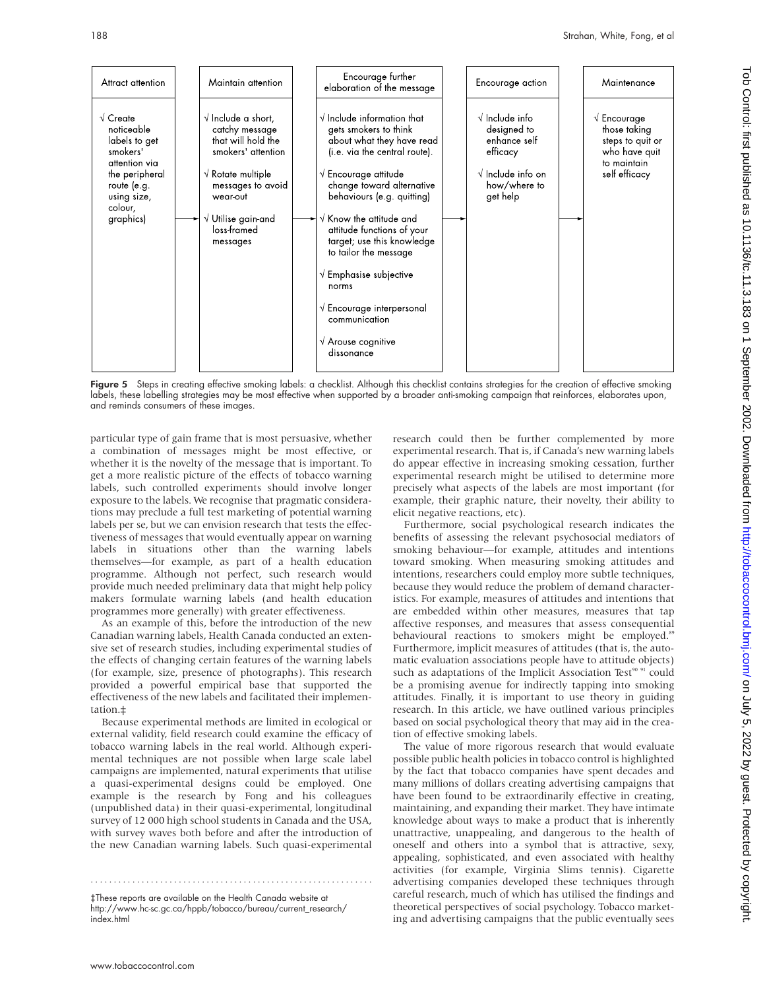

Figure 5 Steps in creating effective smoking labels: a checklist. Although this checklist contains strategies for the creation of effective smoking labels, these labelling strategies may be most effective when supported by a broader anti-smoking campaign that reinforces, elaborates upon, and reminds consumers of these images.

particular type of gain frame that is most persuasive, whether a combination of messages might be most effective, or whether it is the novelty of the message that is important. To get a more realistic picture of the effects of tobacco warning labels, such controlled experiments should involve longer exposure to the labels. We recognise that pragmatic considerations may preclude a full test marketing of potential warning labels per se, but we can envision research that tests the effectiveness of messages that would eventually appear on warning labels in situations other than the warning labels themselves—for example, as part of a health education programme. Although not perfect, such research would provide much needed preliminary data that might help policy makers formulate warning labels (and health education programmes more generally) with greater effectiveness.

As an example of this, before the introduction of the new Canadian warning labels, Health Canada conducted an extensive set of research studies, including experimental studies of the effects of changing certain features of the warning labels (for example, size, presence of photographs). This research provided a powerful empirical base that supported the effectiveness of the new labels and facilitated their implementation.‡

Because experimental methods are limited in ecological or external validity, field research could examine the efficacy of tobacco warning labels in the real world. Although experimental techniques are not possible when large scale label campaigns are implemented, natural experiments that utilise a quasi-experimental designs could be employed. One example is the research by Fong and his colleagues (unpublished data) in their quasi-experimental, longitudinal survey of 12 000 high school students in Canada and the USA, with survey waves both before and after the introduction of the new Canadian warning labels. Such quasi-experimental

‡These reports are available on the Health Canada website at http://www.hc-sc.gc.ca/hppb/tobacco/bureau/current\_research/ index.html

.............................................................

research could then be further complemented by more experimental research. That is, if Canada's new warning labels do appear effective in increasing smoking cessation, further experimental research might be utilised to determine more precisely what aspects of the labels are most important (for example, their graphic nature, their novelty, their ability to elicit negative reactions, etc).

Furthermore, social psychological research indicates the benefits of assessing the relevant psychosocial mediators of smoking behaviour—for example, attitudes and intentions toward smoking. When measuring smoking attitudes and intentions, researchers could employ more subtle techniques, because they would reduce the problem of demand characteristics. For example, measures of attitudes and intentions that are embedded within other measures, measures that tap affective responses, and measures that assess consequential behavioural reactions to smokers might be employed.<sup>89</sup> Furthermore, implicit measures of attitudes (that is, the automatic evaluation associations people have to attitude objects) such as adaptations of the Implicit Association Test<sup>90 91</sup> could be a promising avenue for indirectly tapping into smoking attitudes. Finally, it is important to use theory in guiding research. In this article, we have outlined various principles based on social psychological theory that may aid in the creation of effective smoking labels.

The value of more rigorous research that would evaluate possible public health policies in tobacco control is highlighted by the fact that tobacco companies have spent decades and many millions of dollars creating advertising campaigns that have been found to be extraordinarily effective in creating, maintaining, and expanding their market. They have intimate knowledge about ways to make a product that is inherently unattractive, unappealing, and dangerous to the health of oneself and others into a symbol that is attractive, sexy, appealing, sophisticated, and even associated with healthy activities (for example, Virginia Slims tennis). Cigarette advertising companies developed these techniques through careful research, much of which has utilised the findings and theoretical perspectives of social psychology. Tobacco marketing and advertising campaigns that the public eventually sees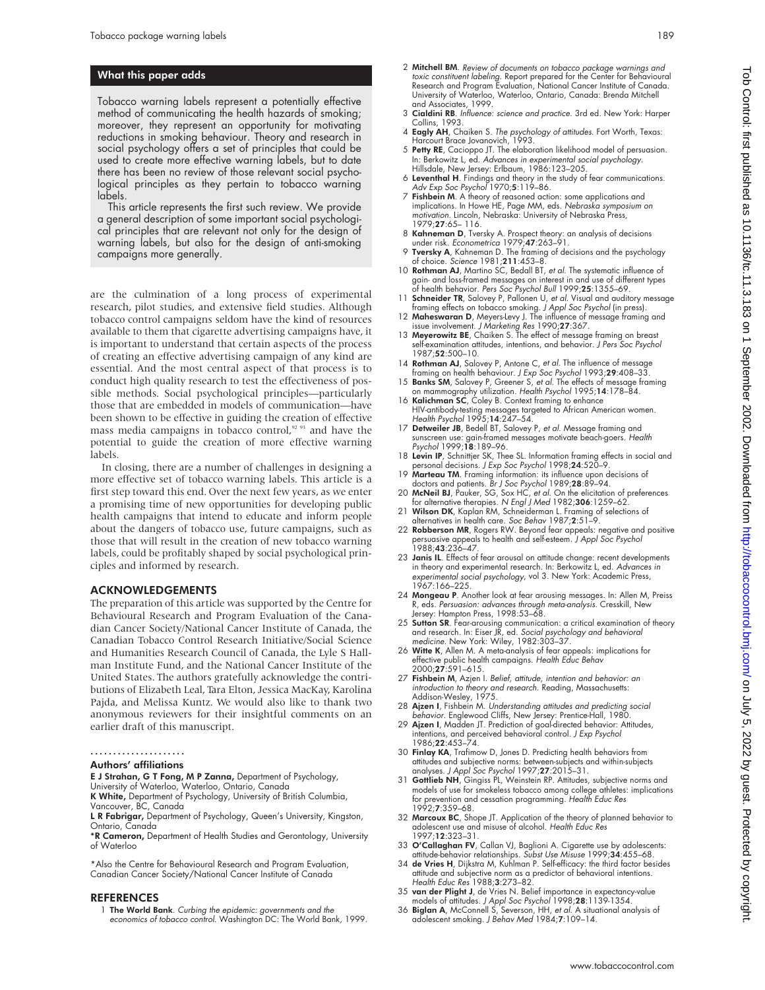# What this paper adds

Tobacco warning labels represent a potentially effective method of communicating the health hazards of smoking; moreover, they represent an opportunity for motivating reductions in smoking behaviour. Theory and research in social psychology offers a set of principles that could be used to create more effective warning labels, but to date there has been no review of those relevant social psychological principles as they pertain to tobacco warning labels.

This article represents the first such review. We provide a general description of some important social psychological principles that are relevant not only for the design of warning labels, but also for the design of anti-smoking campaigns more generally.

are the culmination of a long process of experimental research, pilot studies, and extensive field studies. Although tobacco control campaigns seldom have the kind of resources available to them that cigarette advertising campaigns have, it is important to understand that certain aspects of the process of creating an effective advertising campaign of any kind are essential. And the most central aspect of that process is to conduct high quality research to test the effectiveness of possible methods. Social psychological principles—particularly those that are embedded in models of communication—have been shown to be effective in guiding the creation of effective mass media campaigns in tobacco control,<sup>92 93</sup> and have the potential to guide the creation of more effective warning labels.

In closing, there are a number of challenges in designing a more effective set of tobacco warning labels. This article is a first step toward this end. Over the next few years, as we enter a promising time of new opportunities for developing public health campaigns that intend to educate and inform people about the dangers of tobacco use, future campaigns, such as those that will result in the creation of new tobacco warning labels, could be profitably shaped by social psychological principles and informed by research.

#### ACKNOWLEDGEMENTS

The preparation of this article was supported by the Centre for Behavioural Research and Program Evaluation of the Canadian Cancer Society/National Cancer Institute of Canada, the Canadian Tobacco Control Research Initiative/Social Science and Humanities Research Council of Canada, the Lyle S Hallman Institute Fund, and the National Cancer Institute of the United States. The authors gratefully acknowledge the contributions of Elizabeth Leal, Tara Elton, Jessica MacKay, Karolina Pajda, and Melissa Kuntz. We would also like to thank two anonymous reviewers for their insightful comments on an earlier draft of this manuscript.

## .....................

#### Authors' affiliations

- **E J Strahan, G T Fong, M P Zanna,** Department of Psychology,<br>University of Waterloo, Waterloo, Ontario, Canada<br>**K White,** Department of Psychology, University of British Columbia,
- Vancouver, BC, Canada<br>**L R Fabrigar,** Department of Psychology, Queen's University, Kingston, Ontario, Canada
- **\*R Cameron,** Department of Health Studies and Gerontology, University of Waterloo

\*Also the Centre for Behavioural Research and Program Evaluation, Canadian Cancer Society/National Cancer Institute of Canada

#### **REFERENCES**

1 The World Bank. Curbing the epidemic: governments and the economics of tobacco control. Washington DC: The World Bank, 1999.

- 2 Mitchell BM. Review of documents on tobacco package warnings and toxic constituent labeling. Report prepared for the Center for Behavioural Research and Program Evaluation, National Cancer Institute of Canada. University of Waterloo, Waterloo, Ontario, Canada: Brenda Mitchell and Associates, 1999.
- 3 Cialdini RB. Influence: science and practice. 3rd ed. New York: Harper Collins, 1993.
- 4 **Eagly AH**, Chaiken S. *The psychology of attitudes.* Fort Worth, Texas:<br>Harcourt Brace Jovanovich, 1993.<br>5 **Petty RE**, Cacioppo JT. The elaboration likelihood model of persuasion.
- In: Berkowitz L, ed. Advances in experimental social psychology. Hillsdale, New Jersey: Erlbaum, 1986:123–205.
- 6 Leventhal H. Findings and theory in the study of fear communications. Adv Exp Soc Psychol 1970;5:119-86.
- 7 Fishbein M. A theory of reasoned action: some applications and implications. In Howe HE, Page MM, eds. Nebraska symposium on motivation. Lincoln, Nebraska: University of Nebraska Press, 1979;27:65– 116.
- 
- 8 **Kahneman D**, Tversky A. Prospect theory: an analysis of decisions<br>
under risk. Econometrica 1979;47:263–91.<br>
9 **Tversky A**, Kahneman D. The framing of decisions and the psychology<br>
of choice. Science 1981;**211**:453–8.
- 10 Rothman AJ, Martino SC, Bedall BT, et al. The systematic influence of gain- and loss-framed messages on interest in and use of different types of health behavior. Pers Soc Psychol Bull 1999;25:1355–69.
- 11 Schneider TR, Salovey P, Pallonen U, et al. Visual and auditory message framing effects on tobacco smoking. J Appl Soc Psychol (in press).
- 12 Maheswaran D, Meyers-Levy J. The influence of message framing and issue involvement. *J Marketing Res* 1990;**27**:367.<br>13 Meyerowitz BE, Chaiken S. The effect of message framing on breast
- self-examination attitudes, intentions, and behavior. *J Pers Soc Psychol*<br>1987;**52**:500–10.
- 14 Rothman AJ, Salovey P, Antone C, et al. The influence of message
- framing on health behaviour. J Exp Soc Psychol 1993;29:408–33.<br>15 **Banks SM**, Salovey P, Greener S, *et al*. The effects of message framing<br>20 on mammography utilization. Health Psychol 1995;14:178–84.<br>16 **Kalichman SC**, C
- HIV-antibody-testing messages targeted to Atrican American women.<br>*Health Psychol* 1995;**14**:247–54.
- 17 Detweiler JB, Bedell BT, Salovey P, et al. Message framing and sunscreen use: gain-framed messages motivate beach-goers. Health Psychol 1999;18:189–96.
- 18 Levin IP, Schnittjer SK, Thee SL. Information framing effects in social and personal decisions. J Exp Soc Psychol 1998;24:520–9.
- 19 Marteau TM. Framing information: its influence upon decisions of
- doctors and patients. Br J Soc Psychol 1989;**28**:89–94.<br>20 **McNeil BJ**, Pauker, SG, Sox HC, et al. On the elicitation of preferences<br>for alternative therapies. N Engl J Med 1982;**306**:1259–62. 21 Wilson DK, Kaplan RM, Schneiderman L. Framing of selections of
- alternatives in health care. Soc Behav 1987;2:51–9. 22 Robberson MR, Rogers RW. Beyond fear appeals: negative and positive
- persuasive appeals to health and self-esteem. J Appl Soc Psychol 1988;43:236–47.
- 23 Janis IL. Effects of fear arousal on attitude change: recent developments in theory and experimental research. In: Berkowitz L, ed. Advances in experimental social psychology, vol 3. New York: Academic Press, 1967:166–225.
- 24 Mongeau P. Another look at fear arousing messages. In: Allen M, Preiss R, eds. Persuasion: advances through meta-analysis. Cresskill, New Jersey: Hampton Press, 1998:53–68.
- 25 Sutton SR. Fear-arousing communication: a critical examination of theory and research. In: Eiser JR, ed. Social psychology and behavioral medicine. New York: Wiley, 1982:303–37.
- 26 Witte K, Allen M. A meta-analysis of fear appeals: implications for effective public health campaigns. Health Educ Behav 2000;27:591–615.
- 27 Fishbein M, Azjen I. Belief, attitude, intention and behavior: an introduction to theory and research. Reading, Massachusetts: Addison-Wesley, 1975.
- 28 Ajzen I, Fishbein M. Understanding attitudes and predicting social behavior. Englewood Cliffs, New Jersey: Prentice-Hall, 1980.
- 29 Ajzen I, Madden JT. Prediction of goal-directed behavior: Attitudes, intentions, and perceived behavioral control. J Exp Psychol 1986;22:453–74.
- 30 Finlay KA, Trafimow D, Jones D. Predicting health behaviors from attitudes and subjective norms: between-subjects and within-subjects analyses. J Appl Soc Psychol 1997;27:2015–31.
- 31 Gottlieb NH, Gingiss PL, Weinstein RP. Attitudes, subjective norms and models of use for smokeless tobacco among college athletes: implications for prevention and cessation programming. Health Educ Res 1992;7:359–68.
- 32 Marcoux BC, Shope JT. Application of the theory of planned behavior to adolescent use and misuse of alcohol. Health Educ Res 1997;12:323–31.
- 33 O'Callaghan FV, Callan VJ, Baglioni A. Cigarette use by adolescents: attitude-behavior relationships. Subst Use Misuse 1999;34:455–68.
- 34 de Vries H, Dijkstra M, Kuhlman P. Self-efficacy: the third factor besides attitude and subjective norm as a predictor of behavioral intentions. Health Educ Res 1988;3:273–82.
- 35 van der Plight J, de Vries N. Belief importance in expectancy-value models of attitudes. J Appl Soc Psychol 1998;28:1139-1354
- 36 Biglan A, McConnell S, Severson, HH, et al. A situational analysis of adolescent smoking. J Behav Med 1984;7:109–14.